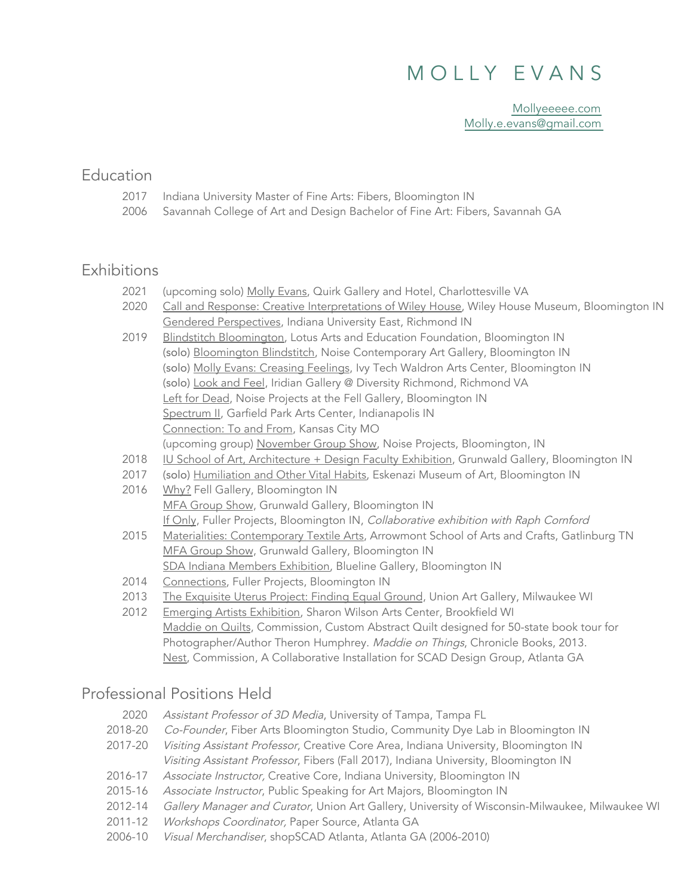# M O L L Y E V A N S

[Mollyeeeee.com](https://www.mollyeeeee.com/) [Molly.e.evans@gmail.com](mailto:molly.e.evans@gmail.com)

#### Education

- 2017 Indiana University Master of Fine Arts: Fibers, Bloomington IN
- 2006 Savannah College of Art and Design Bachelor of Fine Art: Fibers, Savannah GA

### **Exhibitions**

- 2021 (upcoming solo) Molly Evans, Quirk Gallery and Hotel, Charlottesville VA
- 2020 Call and Response: Creative Interpretations of Wiley House, Wiley House Museum, Bloomington IN Gendered Perspectives, Indiana University East, Richmond IN
- 2019 Blindstitch Bloomington, Lotus Arts and Education Foundation, Bloomington IN Spectrum II, Garfield Park Arts Center, Indianapolis IN Connection: To and From, Kansas City MO (upcoming group) <u>November Group Show</u>, Noise Projects, Bloomington, IN (solo) Bloomington Blindstitch, Noise Contemporary Art Gallery, Bloomington IN (solo) Molly Evans: Creasing Feelings, Ivy Tech Waldron Arts Center, Bloomington IN (solo) Look and Feel, Iridian Gallery @ Diversity Richmond, Richmond VA Left for Dead, Noise Projects at the Fell Gallery, Bloomington IN
- 2018 IU School of Art, Architecture + Design Faculty Exhibition, Grunwald Gallery, Bloomington IN
- 2017 (solo) Humiliation and Other Vital Habits, Eskenazi Museum of Art, Bloomington IN
- 2016 Why? Fell Gallery, Bloomington IN MFA Group Show, Grunwald Gallery, Bloomington IN If Only, Fuller Projects, Bloomington IN, Collaborative exhibition with Raph Cornford
- 2015 Materialities: Contemporary Textile Arts, Arrowmont School of Arts and Crafts, Gatlinburg TN MFA Group Show, Grunwald Gallery, Bloomington IN SDA Indiana Members Exhibition, Blueline Gallery, Bloomington IN
- 2014 Connections, Fuller Projects, Bloomington IN
- 2013 The Exquisite Uterus Project: Finding Equal Ground, Union Art Gallery, Milwaukee WI
- 2012 Emerging Artists Exhibition, Sharon Wilson Arts Center, Brookfield WI Maddie on Quilts, Commission, Custom Abstract Quilt designed for 50-state book tour for Photographer/Author Theron Humphrey. Maddie on Things, Chronicle Books, 2013. Nest, Commission, A Collaborative Installation for SCAD Design Group, Atlanta GA

### Professional Positions Held

- 2020 Assistant Professor of 3D Media, University of Tampa, Tampa FL
- 2018-20 *Co-Founder*, Fiber Arts Bloomington Studio, Community Dye Lab in Bloomington IN
- 2017-20 *Visiting Assistant Professor*, Creative Core Area, Indiana University, Bloomington IN Visiting Assistant Professor, Fibers (Fall 2017), Indiana University, Bloomington IN
- 2016-17 Associate Instructor, Creative Core, Indiana University, Bloomington IN
- 2015-16 Associate Instructor, Public Speaking for Art Majors, Bloomington IN
- 2012-14 Gallery Manager and Curator, Union Art Gallery, University of Wisconsin-Milwaukee, Milwaukee WI
- 2011-12 Workshops Coordinator, Paper Source, Atlanta GA
	- 2006-10 Visual Merchandiser, shopSCAD Atlanta, Atlanta GA (2006-2010)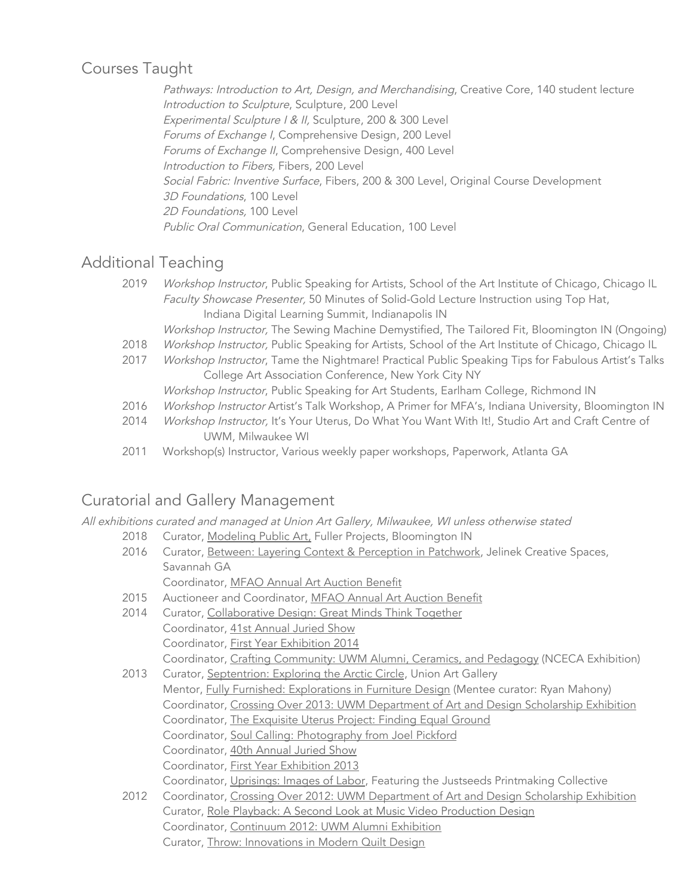### Courses Taught

 Pathways: Introduction to Art, Design, and Merchandising, Creative Core, 140 student lecture Introduction to Sculpture, Sculpture, 200 Level Experimental Sculpture <sup>I</sup> & II, Sculpture, 200 & 300 Level Forums of Exchange I, Comprehensive Design, 200 Level Forums of Exchange II, Comprehensive Design, 400 Level Introduction to Fibers, Fibers, 200 Level Social Fabric: Inventive Surface, Fibers, 200 & 300 Level, Original Course Development 3D Foundations, 100 Level 2D Foundations, 100 Level Public Oral Communication, General Education, 100 Level

### Additional Teaching

- 2019 *Workshop Instructor*, Public Speaking for Artists, School of the Art Institute of Chicago, Chicago IL Faculty Showcase Presenter, 50 Minutes of Solid-Gold Lecture Instruction using Top Hat, Indiana Digital Learning Summit, Indianapolis IN
- Workshop Instructor, The Sewing Machine Demystified, The Tailored Fit, Bloomington IN (Ongoing)
- 2018 *Workshop Instructor,* Public Speaking for Artists, School of the Art Institute of Chicago, Chicago IL
- 2017 *Workshop Instructor*, Tame the Nightmare! Practical Public Speaking Tips for Fabulous Artist's Talks College Art Association Conference, New York City NY
	- Workshop Instructor, Public Speaking for Art Students, Earlham College, Richmond IN
- 2016 *Workshop Instructor* Artist's Talk Workshop, A Primer for MFA's, Indiana University, Bloomington IN
- 2014 *Workshop Instructor,* It's Your Uterus, Do What You Want With It!, Studio Art and Craft Centre of UWM, Milwaukee WI
- 2011 Workshop(s) Instructor, Various weekly paper workshops, Paperwork, Atlanta GA

## Curatorial and Gallery Management

All exhibitions curated and managed at Union Art Gallery, Milwaukee, WI unless otherwise stated

- 2018 Curator, Modeling Public Art, Fuller Projects, Bloomington IN
- 2016 Curator, <u>Between: Layering Context & Perception in Patchwork</u>, Jelinek Creative Spaces, Savannah GA Coordinator, MFAO Annual Art Auction Benefit
- 2015 Auctioneer and Coordinator, MFAO Annual Art Auction Benefit
- 2014 Curator, Collaborative Design: Great Minds Think Together Coordinator, 41st Annual Juried Show Coordinator, First Year Exhibition 2014 Coordinator, Crafting Community: UWM Alumni, Ceramics, and Pedagogy (NCECA Exhibition)
- 2013 Curator, Septentrion: Exploring the Arctic Circle, Union Art Gallery Mentor, Fully Furnished: Explorations in Furniture Design (Mentee curator: Ryan Mahony) Coordinator, Crossing Over 2013: UWM Department of Art and Design Scholarship Exhibition Coordinator, The Exquisite Uterus Project: Finding Equal Ground Coordinator, Soul Calling: Photography from Joel Pickford Coordinator, 40th Annual Juried Show Coordinator, First Year Exhibition 2013 Coordinator, Uprisings: Images of Labor, Featuring the Justseeds Printmaking Collective
- 2012 Coordinator, Crossing Over 2012: UWM Department of Art and Design Scholarship Exhibition Curator, Role Playback: A Second Look at Music Video Production Design Coordinator, Continuum 2012: UWM Alumni Exhibition Curator, Throw: Innovations in Modern Quilt Design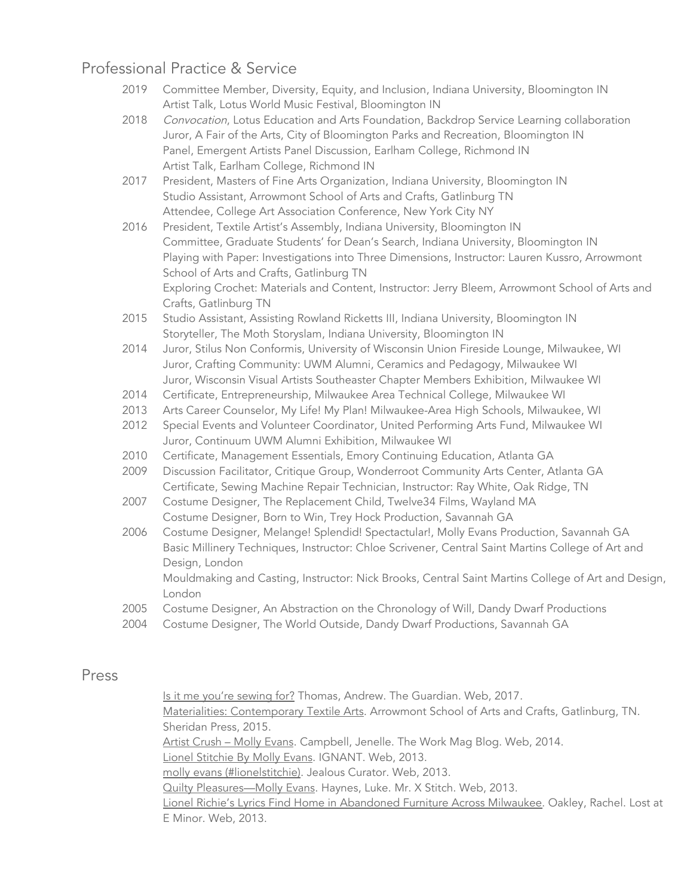### Professional Practice & Service

- 2019 Committee Member, Diversity, Equity, and Inclusion, Indiana University, Bloomington IN Artist Talk, Lotus World Music Festival, Bloomington IN
- 2018 *Convocation*, Lotus Education and Arts Foundation, Backdrop Service Learning collaboration Juror, A Fair of the Arts, City of Bloomington Parks and Recreation, Bloomington IN Panel, Emergent Artists Panel Discussion, Earlham College, Richmond IN Artist Talk, Earlham College, Richmond IN
- 2017 President, Masters of Fine Arts Organization, Indiana University, Bloomington IN Studio Assistant, Arrowmont School of Arts and Crafts, Gatlinburg TN Attendee, College Art Association Conference, New York City NY
- 2016 President, Textile Artist's Assembly, Indiana University, Bloomington IN Committee, Graduate Students' for Dean's Search, Indiana University, Bloomington IN Playing with Paper: Investigations into Three Dimensions, Instructor: Lauren Kussro, Arrowmont School of Arts and Crafts, Gatlinburg TN Exploring Crochet: Materials and Content, Instructor: Jerry Bleem, Arrowmont School of Arts and Crafts, Gatlinburg TN
- 2015 Studio Assistant, Assisting Rowland Ricketts III, Indiana University, Bloomington IN Storyteller, The Moth Storyslam, Indiana University, Bloomington IN
- 2014 Juror, Stilus Non Conformis, University of Wisconsin Union Fireside Lounge, Milwaukee, WI Juror, Crafting Community: UWM Alumni, Ceramics and Pedagogy, Milwaukee WI Juror, Wisconsin Visual Artists Southeaster Chapter Members Exhibition, Milwaukee WI
- 2014 Certificate, Entrepreneurship, Milwaukee Area Technical College, Milwaukee WI
- 2013 Arts Career Counselor, My Life! My Plan! Milwaukee-Area High Schools, Milwaukee, WI
- 2012 Special Events and Volunteer Coordinator, United Performing Arts Fund, Milwaukee WI Juror, Continuum UWM Alumni Exhibition, Milwaukee WI
- 2010 Certificate, Management Essentials, Emory Continuing Education, Atlanta GA
- 2009 Discussion Facilitator, Critique Group, Wonderroot Community Arts Center, Atlanta GA Certificate, Sewing Machine Repair Technician, Instructor: Ray White, Oak Ridge, TN
- 2007 Costume Designer, The Replacement Child, Twelve34 Films, Wayland MA Costume Designer, Born to Win, Trey Hock Production, Savannah GA
- 2006 Costume Designer, Melange! Splendid! Spectactular!, Molly Evans Production, Savannah GA Basic Millinery Techniques, Instructor: Chloe Scrivener, Central Saint Martins College of Art and Design, London

 Mouldmaking and Casting, Instructor: Nick Brooks, Central Saint Martins College of Art and Design, London

- 2005 Costume Designer, An Abstraction on the Chronology of Will, Dandy Dwarf Productions
- 2004 Costume Designer, The World Outside, Dandy Dwarf Productions, Savannah GA

#### Press

<u>Is it me you're sewing for?</u> Thomas, Andrew. The Guardian. Web, 2017.

 Materialities: Contemporary Textile Arts. Arrowmont School of Arts and Crafts, Gatlinburg, TN. Sheridan Press, 2015.

Artist Crush – Molly Evans. Campbell, Jenelle. The Work Mag Blog. Web, 2014.

Lionel Stitchie By Molly Evans. IGNANT. Web, 2013.

molly evans (#lionelstitchie). Jealous Curator. Web, 2013.

Quilty Pleasures—Molly Evans. Haynes, Luke. Mr. X Stitch. Web, 2013.

 Lionel Richie's Lyrics Find Home in Abandoned Furniture Across Milwaukee. Oakley, Rachel. Lost at E Minor. Web, 2013.